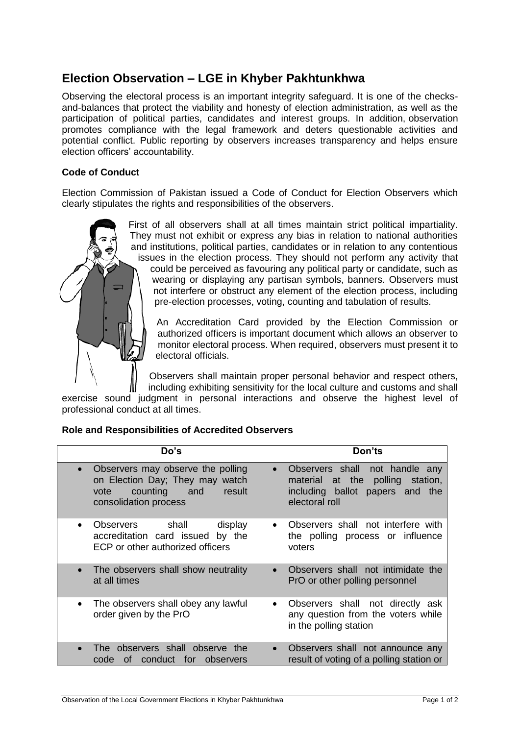## **Election Observation – LGE in Khyber Pakhtunkhwa**

Observing the electoral process is an important integrity safeguard. It is one of the checksand-balances that protect the viability and honesty of election administration, as well as the participation of political parties, candidates and interest groups. In addition, observation promotes compliance with the legal framework and deters questionable activities and potential conflict. Public reporting by observers increases transparency and helps ensure election officers' accountability.

## **Code of Conduct**

Election Commission of Pakistan issued a Code of Conduct for Election Observers which clearly stipulates the rights and responsibilities of the observers.



First of all observers shall at all times maintain strict political impartiality. They must not exhibit or express any bias in relation to national authorities and institutions, political parties, candidates or in relation to any contentious issues in the election process. They should not perform any activity that could be perceived as favouring any political party or candidate, such as wearing or displaying any partisan symbols, banners. Observers must not interfere or obstruct any element of the election process, including pre-election processes, voting, counting and tabulation of results.

An Accreditation Card provided by the Election Commission or authorized officers is important document which allows an observer to monitor electoral process. When required, observers must present it to electoral officials.

Observers shall maintain proper personal behavior and respect others, including exhibiting sensitivity for the local culture and customs and shall

exercise sound judgment in personal interactions and observe the highest level of professional conduct at all times.

## **Role and Responsibilities of Accredited Observers**

| Do's                                                                                                                                         | Don'ts                                                                                                                               |
|----------------------------------------------------------------------------------------------------------------------------------------------|--------------------------------------------------------------------------------------------------------------------------------------|
| Observers may observe the polling<br>$\bullet$<br>on Election Day; They may watch<br>counting and<br>result<br>vote<br>consolidation process | Observers shall not handle any<br>$\bullet$<br>material at the polling station,<br>including ballot papers and the<br>electoral roll |
| Observers shall<br>display<br>accreditation card issued by the<br>ECP or other authorized officers                                           | Observers shall not interfere with<br>the polling process or influence<br>voters                                                     |
| The observers shall show neutrality<br>at all times                                                                                          | Observers shall not intimidate the<br>$\bullet$<br>PrO or other polling personnel                                                    |
| The observers shall obey any lawful<br>order given by the PrO                                                                                | Observers shall not directly ask<br>$\bullet$<br>any question from the voters while<br>in the polling station                        |
| The observers shall observe the<br>conduct for observers<br>code<br>0t                                                                       | Observers shall not announce any<br>$\bullet$<br>result of voting of a polling station or                                            |